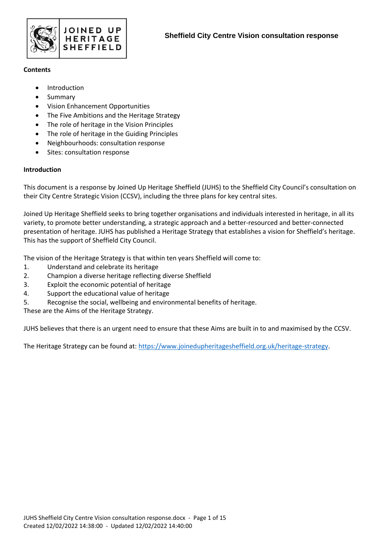

#### **Contents**

- **Introduction**
- Summary
- Vision Enhancement Opportunities
- The Five Ambitions and the Heritage Strategy
- The role of heritage in the Vision Principles
- The role of heritage in the Guiding Principles
- Neighbourhoods: consultation response
- Sites: consultation response

# **Introduction**

This document is a response by Joined Up Heritage Sheffield (JUHS) to the Sheffield City Council's consultation on their City Centre Strategic Vision (CCSV), including the three plans for key central sites.

Joined Up Heritage Sheffield seeks to bring together organisations and individuals interested in heritage, in all its variety, to promote better understanding, a strategic approach and a better-resourced and better-connected presentation of heritage. JUHS has published a Heritage Strategy that establishes a vision for Sheffield's heritage. This has the support of Sheffield City Council.

The vision of the Heritage Strategy is that within ten years Sheffield will come to:

- 1. Understand and celebrate its heritage
- 2. Champion a diverse heritage reflecting diverse Sheffield
- 3. Exploit the economic potential of heritage
- 4. Support the educational value of heritage
- 5. Recognise the social, wellbeing and environmental benefits of heritage.

These are the Aims of the Heritage Strategy.

JUHS believes that there is an urgent need to ensure that these Aims are built in to and maximised by the CCSV.

The Heritage Strategy can be found at: [https://www.joinedupheritagesheffield.org.uk/heritage-strategy.](https://www.joinedupheritagesheffield.org.uk/heritage-strategy)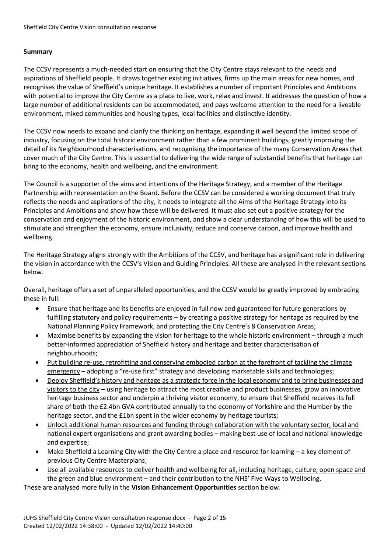## **Summary**

The CCSV represents a much-needed start on ensuring that the City Centre stays relevant to the needs and aspirations of Sheffield people. It draws together existing initiatives, firms up the main areas for new homes, and recognises the value of Sheffield's unique heritage. It establishes a number of important Principles and Ambitions with potential to improve the City Centre as a place to live, work, relax and invest. It addresses the question of how a large number of additional residents can be accommodated, and pays welcome attention to the need for a liveable environment, mixed communities and housing types, local facilities and distinctive identity.

The CCSV now needs to expand and clarify the thinking on heritage, expanding it well beyond the limited scope of industry, focusing on the total historic environment rather than a few prominent buildings, greatly improving the detail of its Neighbourhood characterisations, and recognising the importance of the many Conservation Areas that cover much of the City Centre. This is essential to delivering the wide range of substantial benefits that heritage can bring to the economy, health and wellbeing, and the environment.

The Council is a supporter of the aims and intentions of the Heritage Strategy, and a member of the Heritage Partnership with representation on the Board. Before the CCSV can be considered a working document that truly reflects the needs and aspirations of the city, it needs to integrate all the Aims of the Heritage Strategy into its Principles and Ambitions and show how these will be delivered. It must also set out a positive strategy for the conservation and enjoyment of the historic environment, and show a clear understanding of how this will be used to stimulate and strengthen the economy, ensure inclusivity, reduce and conserve carbon, and improve health and wellbeing.

The Heritage Strategy aligns strongly with the Ambitions of the CCSV, and heritage has a significant role in delivering the vision in accordance with the CCSV's Vision and Guiding Principles. All these are analysed in the relevant sections below.

Overall, heritage offers a set of unparalleled opportunities, and the CCSV would be greatly improved by embracing these in full:

- Ensure that heritage and its benefits are enjoyed in full now and guaranteed for future generations by fulfilling statutory and policy requirements – by creating a positive strategy for heritage as required by the National Planning Policy Framework, and protecting the City Centre's 8 Conservation Areas;
- Maximise benefits by expanding the vision for heritage to the whole historic environment through a much better-informed appreciation of Sheffield history and heritage and better characterisation of neighbourhoods;
- Put building re-use, retrofitting and conserving embodied carbon at the forefront of tackling the climate emergency – adopting a "re-use first" strategy and developing marketable skills and technologies;
- Deploy Sheffield's history and heritage as a strategic force in the local economy and to bring businesses and visitors to the city – using heritage to attract the most creative and product businesses, grow an innovative heritage business sector and underpin a thriving visitor economy, to ensure that Sheffield receives its full share of both the £2.4bn GVA contributed annually to the economy of Yorkshire and the Humber by the heritage sector, and the £1bn spent in the wider economy by heritage tourists;
- Unlock additional human resources and funding through collaboration with the voluntary sector, local and national expert organisations and grant awarding bodies – making best use of local and national knowledge and expertise;
- Make Sheffield a Learning City with the City Centre a place and resource for learning a key element of previous City Centre Masterplans;
- Use all available resources to deliver health and wellbeing for all, including heritage, culture, open space and the green and blue environment – and their contribution to the NHS' Five Ways to Wellbeing.

These are analysed more fully in the **Vision Enhancement Opportunities** section below.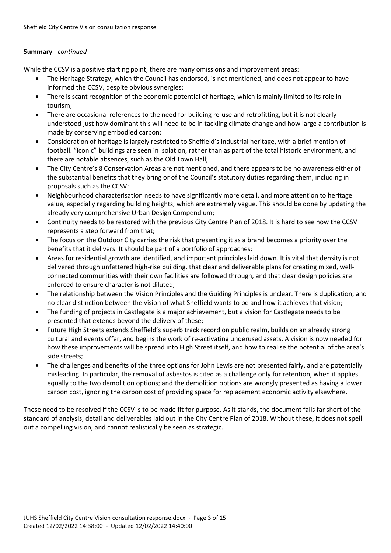#### **Summary** - *continued*

While the CCSV is a positive starting point, there are many omissions and improvement areas:

- The Heritage Strategy, which the Council has endorsed, is not mentioned, and does not appear to have informed the CCSV, despite obvious synergies;
- There is scant recognition of the economic potential of heritage, which is mainly limited to its role in tourism;
- There are occasional references to the need for building re-use and retrofitting, but it is not clearly understood just how dominant this will need to be in tackling climate change and how large a contribution is made by conserving embodied carbon;
- Consideration of heritage is largely restricted to Sheffield's industrial heritage, with a brief mention of football. "Iconic" buildings are seen in isolation, rather than as part of the total historic environment, and there are notable absences, such as the Old Town Hall;
- The City Centre's 8 Conservation Areas are not mentioned, and there appears to be no awareness either of the substantial benefits that they bring or of the Council's statutory duties regarding them, including in proposals such as the CCSV;
- Neighbourhood characterisation needs to have significantly more detail, and more attention to heritage value, especially regarding building heights, which are extremely vague. This should be done by updating the already very comprehensive Urban Design Compendium;
- Continuity needs to be restored with the previous City Centre Plan of 2018. It is hard to see how the CCSV represents a step forward from that;
- The focus on the Outdoor City carries the risk that presenting it as a brand becomes a priority over the benefits that it delivers. It should be part of a portfolio of approaches;
- Areas for residential growth are identified, and important principles laid down. It is vital that density is not delivered through unfettered high-rise building, that clear and deliverable plans for creating mixed, wellconnected communities with their own facilities are followed through, and that clear design policies are enforced to ensure character is not diluted;
- The relationship between the Vision Principles and the Guiding Principles is unclear. There is duplication, and no clear distinction between the vision of what Sheffield wants to be and how it achieves that vision;
- The funding of projects in Castlegate is a major achievement, but a vision for Castlegate needs to be presented that extends beyond the delivery of these;
- Future High Streets extends Sheffield's superb track record on public realm, builds on an already strong cultural and events offer, and begins the work of re-activating underused assets. A vision is now needed for how these improvements will be spread into High Street itself, and how to realise the potential of the area's side streets;
- The challenges and benefits of the three options for John Lewis are not presented fairly, and are potentially misleading. In particular, the removal of asbestos is cited as a challenge only for retention, when it applies equally to the two demolition options; and the demolition options are wrongly presented as having a lower carbon cost, ignoring the carbon cost of providing space for replacement economic activity elsewhere.

These need to be resolved if the CCSV is to be made fit for purpose. As it stands, the document falls far short of the standard of analysis, detail and deliverables laid out in the City Centre Plan of 2018. Without these, it does not spell out a compelling vision, and cannot realistically be seen as strategic.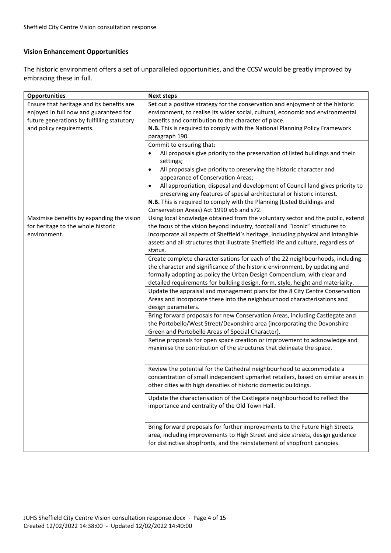## **Vision Enhancement Opportunities**

The historic environment offers a set of unparalleled opportunities, and the CCSV would be greatly improved by embracing these in full.

| <b>Opportunities</b>                                                                                                                                          | <b>Next steps</b>                                                                                                                                                                                                                                                                                                                                                                                                                                                                                                                        |
|---------------------------------------------------------------------------------------------------------------------------------------------------------------|------------------------------------------------------------------------------------------------------------------------------------------------------------------------------------------------------------------------------------------------------------------------------------------------------------------------------------------------------------------------------------------------------------------------------------------------------------------------------------------------------------------------------------------|
| Ensure that heritage and its benefits are<br>enjoyed in full now and guaranteed for<br>future generations by fulfilling statutory<br>and policy requirements. | Set out a positive strategy for the conservation and enjoyment of the historic<br>environment, to realise its wider social, cultural, economic and environmental<br>benefits and contribution to the character of place.<br>N.B. This is required to comply with the National Planning Policy Framework<br>paragraph 190.<br>Commit to ensuring that:<br>All proposals give priority to the preservation of listed buildings and their<br>settings;<br>All proposals give priority to preserving the historic character and<br>$\bullet$ |
|                                                                                                                                                               | appearance of Conservation Areas;<br>All appropriation, disposal and development of Council land gives priority to<br>$\bullet$<br>preserving any features of special architectural or historic interest.<br>N.B. This is required to comply with the Planning (Listed Buildings and<br>Conservation Areas) Act 1990 s66 and s72.                                                                                                                                                                                                        |
| Maximise benefits by expanding the vision<br>for heritage to the whole historic<br>environment.                                                               | Using local knowledge obtained from the voluntary sector and the public, extend<br>the focus of the vision beyond industry, football and "iconic" structures to<br>incorporate all aspects of Sheffield's heritage, including physical and intangible<br>assets and all structures that illustrate Sheffield life and culture, regardless of<br>status.                                                                                                                                                                                  |
|                                                                                                                                                               | Create complete characterisations for each of the 22 neighbourhoods, including<br>the character and significance of the historic environment, by updating and<br>formally adopting as policy the Urban Design Compendium, with clear and<br>detailed requirements for building design, form, style, height and materiality.<br>Update the appraisal and management plans for the 8 City Centre Conservation<br>Areas and incorporate these into the neighbourhood characterisations and                                                  |
|                                                                                                                                                               | design parameters.<br>Bring forward proposals for new Conservation Areas, including Castlegate and<br>the Portobello/West Street/Devonshire area (incorporating the Devonshire<br>Green and Portobello Areas of Special Character).<br>Refine proposals for open space creation or improvement to acknowledge and                                                                                                                                                                                                                        |
|                                                                                                                                                               | maximise the contribution of the structures that delineate the space.<br>Review the potential for the Cathedral neighbourhood to accommodate a                                                                                                                                                                                                                                                                                                                                                                                           |
|                                                                                                                                                               | concentration of small independent upmarket retailers, based on similar areas in<br>other cities with high densities of historic domestic buildings.                                                                                                                                                                                                                                                                                                                                                                                     |
|                                                                                                                                                               | Update the characterisation of the Castlegate neighbourhood to reflect the<br>importance and centrality of the Old Town Hall.                                                                                                                                                                                                                                                                                                                                                                                                            |
|                                                                                                                                                               | Bring forward proposals for further improvements to the Future High Streets<br>area, including improvements to High Street and side streets, design guidance<br>for distinctive shopfronts, and the reinstatement of shopfront canopies.                                                                                                                                                                                                                                                                                                 |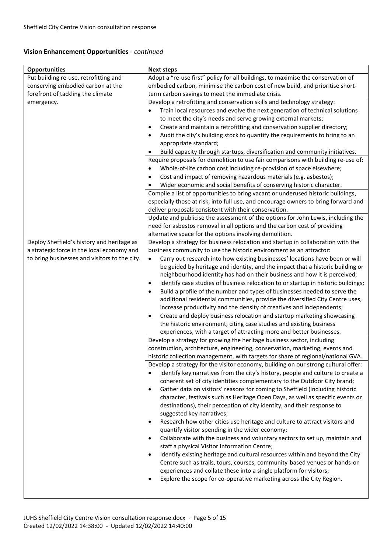## **Vision Enhancement Opportunities** - *continued*

| <b>Opportunities</b>                          | <b>Next steps</b>                                                                                                                                           |
|-----------------------------------------------|-------------------------------------------------------------------------------------------------------------------------------------------------------------|
| Put building re-use, retrofitting and         | Adopt a "re-use first" policy for all buildings, to maximise the conservation of                                                                            |
| conserving embodied carbon at the             | embodied carbon, minimise the carbon cost of new build, and prioritise short-                                                                               |
| forefront of tackling the climate             | term carbon savings to meet the immediate crisis.                                                                                                           |
| emergency.                                    | Develop a retrofitting and conservation skills and technology strategy:                                                                                     |
|                                               | Train local resources and evolve the next generation of technical solutions<br>$\bullet$                                                                    |
|                                               | to meet the city's needs and serve growing external markets;                                                                                                |
|                                               | Create and maintain a retrofitting and conservation supplier directory;<br>$\bullet$                                                                        |
|                                               | Audit the city's building stock to quantify the requirements to bring to an<br>٠                                                                            |
|                                               | appropriate standard;                                                                                                                                       |
|                                               | Build capacity through startups, diversification and community initiatives.<br>$\bullet$                                                                    |
|                                               | Require proposals for demolition to use fair comparisons with building re-use of:                                                                           |
|                                               | Whole-of-life carbon cost including re-provision of space elsewhere;                                                                                        |
|                                               | Cost and impact of removing hazardous materials (e.g. asbestos);<br>٠                                                                                       |
|                                               | Wider economic and social benefits of conserving historic character.                                                                                        |
|                                               | Compile a list of opportunities to bring vacant or underused historic buildings,                                                                            |
|                                               | especially those at risk, into full use, and encourage owners to bring forward and                                                                          |
|                                               | deliver proposals consistent with their conservation.                                                                                                       |
|                                               | Update and publicise the assessment of the options for John Lewis, including the                                                                            |
|                                               | need for asbestos removal in all options and the carbon cost of providing                                                                                   |
|                                               | alternative space for the options involving demolition.                                                                                                     |
| Deploy Sheffield's history and heritage as    | Develop a strategy for business relocation and startup in collaboration with the                                                                            |
| a strategic force in the local economy and    | business community to use the historic environment as an attractor:                                                                                         |
| to bring businesses and visitors to the city. | Carry out research into how existing businesses' locations have been or will<br>$\bullet$                                                                   |
|                                               | be guided by heritage and identity, and the impact that a historic building or<br>neighbourhood identity has had on their business and how it is perceived; |
|                                               | Identify case studies of business relocation to or startup in historic buildings;<br>٠                                                                      |
|                                               | Build a profile of the number and types of businesses needed to serve the<br>٠                                                                              |
|                                               | additional residential communities, provide the diversified City Centre uses,                                                                               |
|                                               | increase productivity and the density of creatives and independents;                                                                                        |
|                                               | Create and deploy business relocation and startup marketing showcasing<br>٠                                                                                 |
|                                               | the historic environment, citing case studies and existing business                                                                                         |
|                                               | experiences, with a target of attracting more and better businesses.                                                                                        |
|                                               | Develop a strategy for growing the heritage business sector, including                                                                                      |
|                                               | construction, architecture, engineering, conservation, marketing, events and                                                                                |
|                                               | historic collection management, with targets for share of regional/national GVA.                                                                            |
|                                               | Develop a strategy for the visitor economy, building on our strong cultural offer:                                                                          |
|                                               | Identify key narratives from the city's history, people and culture to create a                                                                             |
|                                               | coherent set of city identities complementary to the Outdoor City brand;                                                                                    |
|                                               | Gather data on visitors' reasons for coming to Sheffield (including historic<br>$\bullet$                                                                   |
|                                               | character, festivals such as Heritage Open Days, as well as specific events or                                                                              |
|                                               | destinations), their perception of city identity, and their response to                                                                                     |
|                                               | suggested key narratives;                                                                                                                                   |
|                                               | Research how other cities use heritage and culture to attract visitors and<br>$\bullet$                                                                     |
|                                               | quantify visitor spending in the wider economy;                                                                                                             |
|                                               | Collaborate with the business and voluntary sectors to set up, maintain and<br>$\bullet$                                                                    |
|                                               | staff a physical Visitor Information Centre;                                                                                                                |
|                                               | Identify existing heritage and cultural resources within and beyond the City<br>$\bullet$                                                                   |
|                                               | Centre such as trails, tours, courses, community-based venues or hands-on                                                                                   |
|                                               | experiences and collate these into a single platform for visitors;                                                                                          |
|                                               | Explore the scope for co-operative marketing across the City Region.<br>$\bullet$                                                                           |
|                                               |                                                                                                                                                             |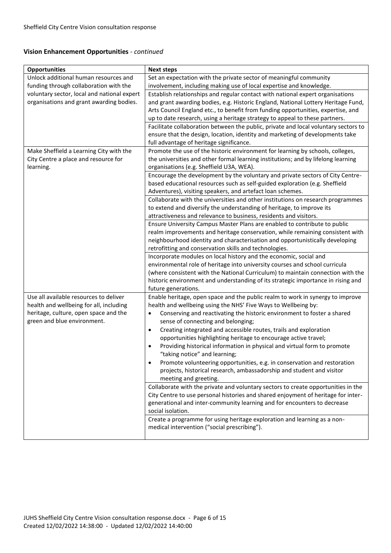## **Vision Enhancement Opportunities** - *continued*

| <b>Opportunities</b>                        | <b>Next steps</b>                                                                                                      |
|---------------------------------------------|------------------------------------------------------------------------------------------------------------------------|
| Unlock additional human resources and       | Set an expectation with the private sector of meaningful community                                                     |
| funding through collaboration with the      | involvement, including making use of local expertise and knowledge.                                                    |
| voluntary sector, local and national expert | Establish relationships and regular contact with national expert organisations                                         |
| organisations and grant awarding bodies.    | and grant awarding bodies, e.g. Historic England, National Lottery Heritage Fund,                                      |
|                                             | Arts Council England etc., to benefit from funding opportunities, expertise, and                                       |
|                                             | up to date research, using a heritage strategy to appeal to these partners.                                            |
|                                             | Facilitate collaboration between the public, private and local voluntary sectors to                                    |
|                                             | ensure that the design, location, identity and marketing of developments take                                          |
|                                             | full advantage of heritage significance.                                                                               |
| Make Sheffield a Learning City with the     | Promote the use of the historic environment for learning by schools, colleges,                                         |
| City Centre a place and resource for        | the universities and other formal learning institutions; and by lifelong learning                                      |
| learning.                                   | organisations (e.g. Sheffield U3A, WEA).                                                                               |
|                                             | Encourage the development by the voluntary and private sectors of City Centre-                                         |
|                                             | based educational resources such as self-guided exploration (e.g. Sheffield                                            |
|                                             | Adventures), visiting speakers, and artefact loan schemes.                                                             |
|                                             | Collaborate with the universities and other institutions on research programmes                                        |
|                                             | to extend and diversify the understanding of heritage, to improve its                                                  |
|                                             | attractiveness and relevance to business, residents and visitors.                                                      |
|                                             | Ensure University Campus Master Plans are enabled to contribute to public                                              |
|                                             | realm improvements and heritage conservation, while remaining consistent with                                          |
|                                             | neighbourhood identity and characterisation and opportunistically developing                                           |
|                                             | retrofitting and conservation skills and technologies.                                                                 |
|                                             | Incorporate modules on local history and the economic, social and                                                      |
|                                             | environmental role of heritage into university courses and school curricula                                            |
|                                             | (where consistent with the National Curriculum) to maintain connection with the                                        |
|                                             | historic environment and understanding of its strategic importance in rising and                                       |
|                                             | future generations.                                                                                                    |
| Use all available resources to deliver      | Enable heritage, open space and the public realm to work in synergy to improve                                         |
| health and wellbeing for all, including     | health and wellbeing using the NHS' Five Ways to Wellbeing by:                                                         |
| heritage, culture, open space and the       | Conserving and reactivating the historic environment to foster a shared<br>$\bullet$                                   |
| green and blue environment.                 | sense of connecting and belonging;                                                                                     |
|                                             | Creating integrated and accessible routes, trails and exploration<br>$\bullet$                                         |
|                                             | opportunities highlighting heritage to encourage active travel;                                                        |
|                                             | Providing historical information in physical and virtual form to promote<br>$\bullet$<br>"taking notice" and learning; |
|                                             | Promote volunteering opportunities, e.g. in conservation and restoration                                               |
|                                             | projects, historical research, ambassadorship and student and visitor                                                  |
|                                             | meeting and greeting.                                                                                                  |
|                                             | Collaborate with the private and voluntary sectors to create opportunities in the                                      |
|                                             | City Centre to use personal histories and shared enjoyment of heritage for inter-                                      |
|                                             | generational and inter-community learning and for encounters to decrease                                               |
|                                             | social isolation.                                                                                                      |
|                                             | Create a programme for using heritage exploration and learning as a non-                                               |
|                                             | medical intervention ("social prescribing").                                                                           |
|                                             |                                                                                                                        |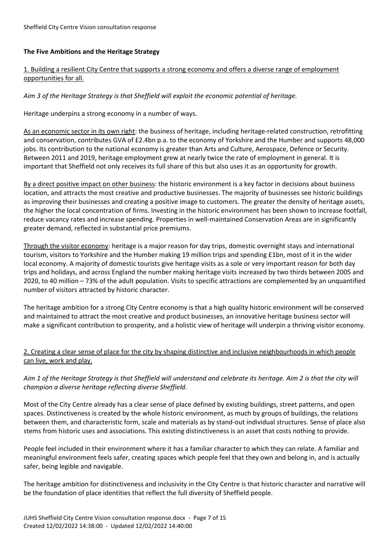#### **The Five Ambitions and the Heritage Strategy**

## 1. Building a resilient City Centre that supports a strong economy and offers a diverse range of employment opportunities for all.

## *Aim 3 of the Heritage Strategy is that Sheffield will exploit the economic potential of heritage.*

Heritage underpins a strong economy in a number of ways.

As an economic sector in its own right: the business of heritage, including heritage-related construction, retrofitting and conservation, contributes GVA of £2.4bn p.a. to the economy of Yorkshire and the Humber and supports 48,000 jobs. Its contribution to the national economy is greater than Arts and Culture, Aerospace, Defence or Security. Between 2011 and 2019, heritage employment grew at nearly twice the rate of employment in general. It is important that Sheffield not only receives its full share of this but also uses it as an opportunity for growth.

By a direct positive impact on other business: the historic environment is a key factor in decisions about business location, and attracts the most creative and productive businesses. The majority of businesses see historic buildings as improving their businesses and creating a positive image to customers. The greater the density of heritage assets, the higher the local concentration of firms. Investing in the historic environment has been shown to increase footfall, reduce vacancy rates and increase spending. Properties in well-maintained Conservation Areas are in significantly greater demand, reflected in substantial price premiums.

Through the visitor economy: heritage is a major reason for day trips, domestic overnight stays and international tourism, visitors to Yorkshire and the Humber making 19 million trips and spending £1bn, most of it in the wider local economy. A majority of domestic tourists give heritage visits as a sole or very important reason for both day trips and holidays, and across England the number making heritage visits increased by two thirds between 2005 and 2020, to 40 million – 73% of the adult population. Visits to specific attractions are complemented by an unquantified number of visitors attracted by historic character.

The heritage ambition for a strong City Centre economy is that a high quality historic environment will be conserved and maintained to attract the most creative and product businesses, an innovative heritage business sector will make a significant contribution to prosperity, and a holistic view of heritage will underpin a thriving visitor economy.

# 2. Creating a clear sense of place for the city by shaping distinctive and inclusive neighbourhoods in which people can live, work and play.

*Aim 1 of the Heritage Strategy is that Sheffield will understand and celebrate its heritage. Aim 2 is that the city will champion a diverse heritage reflecting diverse Sheffield.*

Most of the City Centre already has a clear sense of place defined by existing buildings, street patterns, and open spaces. Distinctiveness is created by the whole historic environment, as much by groups of buildings, the relations between them, and characteristic form, scale and materials as by stand-out individual structures. Sense of place also stems from historic uses and associations. This existing distinctiveness is an asset that costs nothing to provide.

People feel included in their environment where it has a familiar character to which they can relate. A familiar and meaningful environment feels safer, creating spaces which people feel that they own and belong in, and is actually safer, being legible and navigable.

The heritage ambition for distinctiveness and inclusivity in the City Centre is that historic character and narrative will be the foundation of place identities that reflect the full diversity of Sheffield people.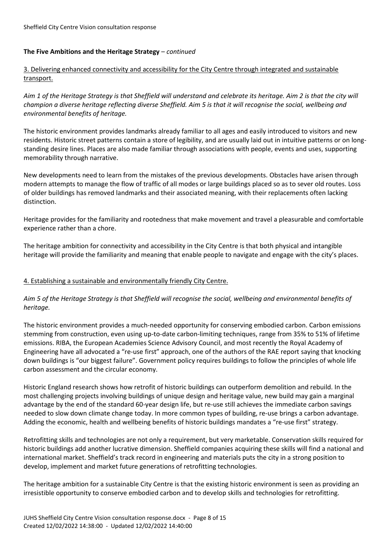#### **The Five Ambitions and the Heritage Strategy** – *continued*

# 3. Delivering enhanced connectivity and accessibility for the City Centre through integrated and sustainable transport.

*Aim 1 of the Heritage Strategy is that Sheffield will understand and celebrate its heritage. Aim 2 is that the city will champion a diverse heritage reflecting diverse Sheffield. Aim 5 is that it will recognise the social, wellbeing and environmental benefits of heritage.*

The historic environment provides landmarks already familiar to all ages and easily introduced to visitors and new residents. Historic street patterns contain a store of legibility, and are usually laid out in intuitive patterns or on longstanding desire lines. Places are also made familiar through associations with people, events and uses, supporting memorability through narrative.

New developments need to learn from the mistakes of the previous developments. Obstacles have arisen through modern attempts to manage the flow of traffic of all modes or large buildings placed so as to sever old routes. Loss of older buildings has removed landmarks and their associated meaning, with their replacements often lacking distinction.

Heritage provides for the familiarity and rootedness that make movement and travel a pleasurable and comfortable experience rather than a chore.

The heritage ambition for connectivity and accessibility in the City Centre is that both physical and intangible heritage will provide the familiarity and meaning that enable people to navigate and engage with the city's places.

# 4. Establishing a sustainable and environmentally friendly City Centre.

## *Aim 5 of the Heritage Strategy is that Sheffield will recognise the social, wellbeing and environmental benefits of heritage.*

The historic environment provides a much-needed opportunity for conserving embodied carbon. Carbon emissions stemming from construction, even using up-to-date carbon-limiting techniques, range from 35% to 51% of lifetime emissions. RIBA, the European Academies Science Advisory Council, and most recently the Royal Academy of Engineering have all advocated a "re-use first" approach, one of the authors of the RAE report saying that knocking down buildings is "our biggest failure". Government policy requires buildings to follow the principles of whole life carbon assessment and the circular economy.

Historic England research shows how retrofit of historic buildings can outperform demolition and rebuild. In the most challenging projects involving buildings of unique design and heritage value, new build may gain a marginal advantage by the end of the standard 60-year design life, but re-use still achieves the immediate carbon savings needed to slow down climate change today. In more common types of building, re-use brings a carbon advantage. Adding the economic, health and wellbeing benefits of historic buildings mandates a "re-use first" strategy.

Retrofitting skills and technologies are not only a requirement, but very marketable. Conservation skills required for historic buildings add another lucrative dimension. Sheffield companies acquiring these skills will find a national and international market. Sheffield's track record in engineering and materials puts the city in a strong position to develop, implement and market future generations of retrofitting technologies.

The heritage ambition for a sustainable City Centre is that the existing historic environment is seen as providing an irresistible opportunity to conserve embodied carbon and to develop skills and technologies for retrofitting.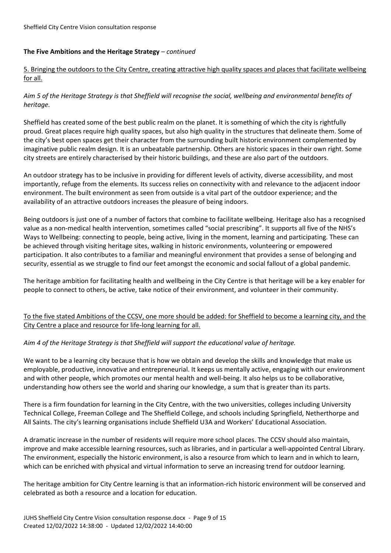## **The Five Ambitions and the Heritage Strategy** – *continued*

# 5. Bringing the outdoors to the City Centre, creating attractive high quality spaces and places that facilitate wellbeing for all.

*Aim 5 of the Heritage Strategy is that Sheffield will recognise the social, wellbeing and environmental benefits of heritage.*

Sheffield has created some of the best public realm on the planet. It is something of which the city is rightfully proud. Great places require high quality spaces, but also high quality in the structures that delineate them. Some of the city's best open spaces get their character from the surrounding built historic environment complemented by imaginative public realm design. It is an unbeatable partnership. Others are historic spaces in their own right. Some city streets are entirely characterised by their historic buildings, and these are also part of the outdoors.

An outdoor strategy has to be inclusive in providing for different levels of activity, diverse accessibility, and most importantly, refuge from the elements. Its success relies on connectivity with and relevance to the adjacent indoor environment. The built environment as seen from outside is a vital part of the outdoor experience; and the availability of an attractive outdoors increases the pleasure of being indoors.

Being outdoors is just one of a number of factors that combine to facilitate wellbeing. Heritage also has a recognised value as a non-medical health intervention, sometimes called "social prescribing". It supports all five of the NHS's Ways to Wellbeing: connecting to people, being active, living in the moment, learning and participating. These can be achieved through visiting heritage sites, walking in historic environments, volunteering or empowered participation. It also contributes to a familiar and meaningful environment that provides a sense of belonging and security, essential as we struggle to find our feet amongst the economic and social fallout of a global pandemic.

The heritage ambition for facilitating health and wellbeing in the City Centre is that heritage will be a key enabler for people to connect to others, be active, take notice of their environment, and volunteer in their community.

To the five stated Ambitions of the CCSV, one more should be added: for Sheffield to become a learning city, and the City Centre a place and resource for life-long learning for all.

# *Aim 4 of the Heritage Strategy is that Sheffield will support the educational value of heritage.*

We want to be a learning city because that is how we obtain and develop the skills and knowledge that make us employable, productive, innovative and entrepreneurial. It keeps us mentally active, engaging with our environment and with other people, which promotes our mental health and well-being. It also helps us to be collaborative, understanding how others see the world and sharing our knowledge, a sum that is greater than its parts.

There is a firm foundation for learning in the City Centre, with the two universities, colleges including University Technical College, Freeman College and The Sheffield College, and schools including Springfield, Netherthorpe and All Saints. The city's learning organisations include Sheffield U3A and Workers' Educational Association.

A dramatic increase in the number of residents will require more school places. The CCSV should also maintain, improve and make accessible learning resources, such as libraries, and in particular a well-appointed Central Library. The environment, especially the historic environment, is also a resource from which to learn and in which to learn, which can be enriched with physical and virtual information to serve an increasing trend for outdoor learning.

The heritage ambition for City Centre learning is that an information-rich historic environment will be conserved and celebrated as both a resource and a location for education.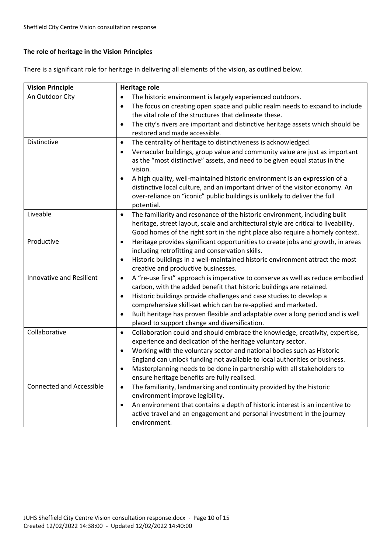# **The role of heritage in the Vision Principles**

There is a significant role for heritage in delivering all elements of the vision, as outlined below.

| <b>Vision Principle</b>         | <b>Heritage role</b>                                                                         |  |
|---------------------------------|----------------------------------------------------------------------------------------------|--|
| An Outdoor City                 | The historic environment is largely experienced outdoors.<br>$\bullet$                       |  |
|                                 | The focus on creating open space and public realm needs to expand to include<br>$\bullet$    |  |
|                                 | the vital role of the structures that delineate these.                                       |  |
|                                 | The city's rivers are important and distinctive heritage assets which should be<br>$\bullet$ |  |
|                                 | restored and made accessible.                                                                |  |
| Distinctive                     | The centrality of heritage to distinctiveness is acknowledged.<br>$\bullet$                  |  |
|                                 | Vernacular buildings, group value and community value are just as important<br>$\bullet$     |  |
|                                 | as the "most distinctive" assets, and need to be given equal status in the                   |  |
|                                 | vision.                                                                                      |  |
|                                 | A high quality, well-maintained historic environment is an expression of a<br>$\bullet$      |  |
|                                 | distinctive local culture, and an important driver of the visitor economy. An                |  |
|                                 | over-reliance on "iconic" public buildings is unlikely to deliver the full                   |  |
|                                 | potential.                                                                                   |  |
| Liveable                        | The familiarity and resonance of the historic environment, including built<br>$\bullet$      |  |
|                                 | heritage, street layout, scale and architectural style are critical to liveability.          |  |
|                                 | Good homes of the right sort in the right place also require a homely context.               |  |
| Productive                      | Heritage provides significant opportunities to create jobs and growth, in areas<br>$\bullet$ |  |
|                                 | including retrofitting and conservation skills.                                              |  |
|                                 | Historic buildings in a well-maintained historic environment attract the most<br>$\bullet$   |  |
|                                 | creative and productive businesses.                                                          |  |
| Innovative and Resilient        | A "re-use first" approach is imperative to conserve as well as reduce embodied<br>$\bullet$  |  |
|                                 | carbon, with the added benefit that historic buildings are retained.                         |  |
|                                 | Historic buildings provide challenges and case studies to develop a<br>$\bullet$             |  |
|                                 | comprehensive skill-set which can be re-applied and marketed.                                |  |
|                                 | Built heritage has proven flexible and adaptable over a long period and is well<br>٠         |  |
|                                 | placed to support change and diversification.                                                |  |
| Collaborative                   | Collaboration could and should embrace the knowledge, creativity, expertise,<br>$\bullet$    |  |
|                                 | experience and dedication of the heritage voluntary sector.                                  |  |
|                                 | Working with the voluntary sector and national bodies such as Historic<br>٠                  |  |
|                                 | England can unlock funding not available to local authorities or business.                   |  |
|                                 | Masterplanning needs to be done in partnership with all stakeholders to<br>٠                 |  |
|                                 | ensure heritage benefits are fully realised.                                                 |  |
| <b>Connected and Accessible</b> | The familiarity, landmarking and continuity provided by the historic<br>$\bullet$            |  |
|                                 | environment improve legibility.                                                              |  |
|                                 | An environment that contains a depth of historic interest is an incentive to<br>$\bullet$    |  |
|                                 | active travel and an engagement and personal investment in the journey                       |  |
|                                 | environment.                                                                                 |  |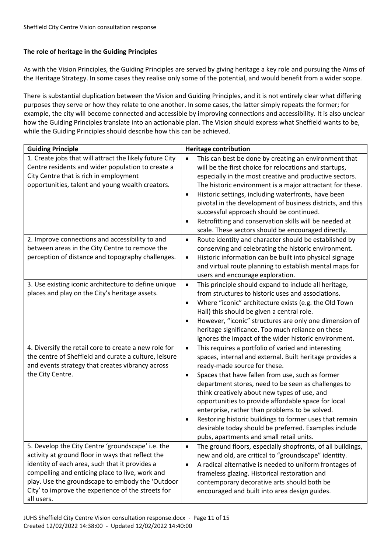# **The role of heritage in the Guiding Principles**

As with the Vision Principles, the Guiding Principles are served by giving heritage a key role and pursuing the Aims of the Heritage Strategy. In some cases they realise only some of the potential, and would benefit from a wider scope.

There is substantial duplication between the Vision and Guiding Principles, and it is not entirely clear what differing purposes they serve or how they relate to one another. In some cases, the latter simply repeats the former; for example, the city will become connected and accessible by improving connections and accessibility. It is also unclear how the Guiding Principles translate into an actionable plan. The Vision should express what Sheffield wants to be, while the Guiding Principles should describe how this can be achieved.

| <b>Guiding Principle</b>                                                                                                                                                                                                                                                                                                            | <b>Heritage contribution</b>                                                                                                                                                                                                                                                                                                                                                                                                                                                                                                                                                                                               |
|-------------------------------------------------------------------------------------------------------------------------------------------------------------------------------------------------------------------------------------------------------------------------------------------------------------------------------------|----------------------------------------------------------------------------------------------------------------------------------------------------------------------------------------------------------------------------------------------------------------------------------------------------------------------------------------------------------------------------------------------------------------------------------------------------------------------------------------------------------------------------------------------------------------------------------------------------------------------------|
| 1. Create jobs that will attract the likely future City<br>Centre residents and wider population to create a<br>City Centre that is rich in employment<br>opportunities, talent and young wealth creators.                                                                                                                          | This can best be done by creating an environment that<br>$\bullet$<br>will be the first choice for relocations and startups,<br>especially in the most creative and productive sectors.<br>The historic environment is a major attractant for these.<br>Historic settings, including waterfronts, have been<br>$\bullet$<br>pivotal in the development of business districts, and this<br>successful approach should be continued.<br>Retrofitting and conservation skills will be needed at<br>$\bullet$<br>scale. These sectors should be encouraged directly.                                                           |
| 2. Improve connections and accessibility to and<br>between areas in the City Centre to remove the<br>perception of distance and topography challenges.                                                                                                                                                                              | Route identity and character should be established by<br>$\bullet$<br>conserving and celebrating the historic environment.<br>Historic information can be built into physical signage<br>$\bullet$<br>and virtual route planning to establish mental maps for<br>users and encourage exploration.                                                                                                                                                                                                                                                                                                                          |
| 3. Use existing iconic architecture to define unique<br>places and play on the City's heritage assets.                                                                                                                                                                                                                              | This principle should expand to include all heritage,<br>$\bullet$<br>from structures to historic uses and associations.<br>Where "iconic" architecture exists (e.g. the Old Town<br>$\bullet$<br>Hall) this should be given a central role.<br>However, "iconic" structures are only one dimension of<br>$\bullet$<br>heritage significance. Too much reliance on these<br>ignores the impact of the wider historic environment.                                                                                                                                                                                          |
| 4. Diversify the retail core to create a new role for<br>the centre of Sheffield and curate a culture, leisure<br>and events strategy that creates vibrancy across<br>the City Centre.                                                                                                                                              | This requires a portfolio of varied and interesting<br>$\bullet$<br>spaces, internal and external. Built heritage provides a<br>ready-made source for these.<br>Spaces that have fallen from use, such as former<br>$\bullet$<br>department stores, need to be seen as challenges to<br>think creatively about new types of use, and<br>opportunities to provide affordable space for local<br>enterprise, rather than problems to be solved.<br>Restoring historic buildings to former uses that remain<br>$\bullet$<br>desirable today should be preferred. Examples include<br>pubs, apartments and small retail units. |
| 5. Develop the City Centre 'groundscape' i.e. the<br>activity at ground floor in ways that reflect the<br>identity of each area, such that it provides a<br>compelling and enticing place to live, work and<br>play. Use the groundscape to embody the 'Outdoor<br>City' to improve the experience of the streets for<br>all users. | The ground floors, especially shopfronts, of all buildings,<br>$\bullet$<br>new and old, are critical to "groundscape" identity.<br>A radical alternative is needed to uniform frontages of<br>$\bullet$<br>frameless glazing. Historical restoration and<br>contemporary decorative arts should both be<br>encouraged and built into area design guides.                                                                                                                                                                                                                                                                  |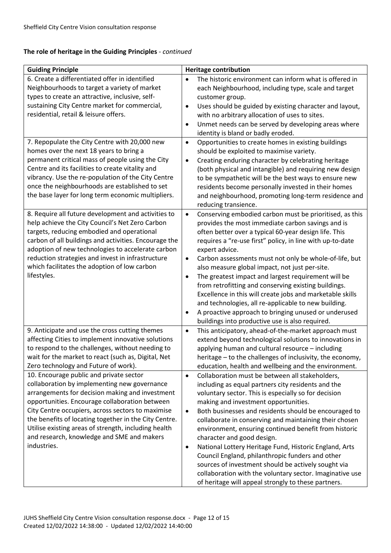# **The role of heritage in the Guiding Principles** *- continued*

| <b>Guiding Principle</b>                              | <b>Heritage contribution</b>                                         |
|-------------------------------------------------------|----------------------------------------------------------------------|
| 6. Create a differentiated offer in identified        | The historic environment can inform what is offered in<br>$\bullet$  |
| Neighbourhoods to target a variety of market          | each Neighbourhood, including type, scale and target                 |
| types to create an attractive, inclusive, self-       | customer group.                                                      |
| sustaining City Centre market for commercial,         | Uses should be guided by existing character and layout,<br>$\bullet$ |
| residential, retail & leisure offers.                 | with no arbitrary allocation of uses to sites.                       |
|                                                       | Unmet needs can be served by developing areas where<br>$\bullet$     |
|                                                       | identity is bland or badly eroded.                                   |
| 7. Repopulate the City Centre with 20,000 new         | Opportunities to create homes in existing buildings<br>$\bullet$     |
| homes over the next 18 years to bring a               | should be exploited to maximise variety.                             |
| permanent critical mass of people using the City      | Creating enduring character by celebrating heritage<br>$\bullet$     |
| Centre and its facilities to create vitality and      | (both physical and intangible) and requiring new design              |
| vibrancy. Use the re-population of the City Centre    | to be sympathetic will be the best ways to ensure new                |
| once the neighbourhoods are established to set        | residents become personally invested in their homes                  |
| the base layer for long term economic multipliers.    | and neighbourhood, promoting long-term residence and                 |
|                                                       | reducing transience.                                                 |
| 8. Require all future development and activities to   | Conserving embodied carbon must be prioritised, as this<br>$\bullet$ |
| help achieve the City Council's Net Zero Carbon       | provides the most immediate carbon savings and is                    |
| targets, reducing embodied and operational            | often better over a typical 60-year design life. This                |
| carbon of all buildings and activities. Encourage the | requires a "re-use first" policy, in line with up-to-date            |
| adoption of new technologies to accelerate carbon     | expert advice.                                                       |
| reduction strategies and invest in infrastructure     | Carbon assessments must not only be whole-of-life, but<br>$\bullet$  |
| which facilitates the adoption of low carbon          | also measure global impact, not just per-site.                       |
| lifestyles.                                           | The greatest impact and largest requirement will be<br>$\bullet$     |
|                                                       | from retrofitting and conserving existing buildings.                 |
|                                                       | Excellence in this will create jobs and marketable skills            |
|                                                       | and technologies, all re-applicable to new building.                 |
|                                                       | A proactive approach to bringing unused or underused<br>٠            |
|                                                       | buildings into productive use is also required.                      |
| 9. Anticipate and use the cross cutting themes        | This anticipatory, ahead-of-the-market approach must<br>$\bullet$    |
| affecting Cities to implement innovative solutions    | extend beyond technological solutions to innovations in              |
| to respond to the challenges, without needing to      | applying human and cultural resource - including                     |
| wait for the market to react (such as, Digital, Net   | heritage - to the challenges of inclusivity, the economy,            |
| Zero technology and Future of work).                  | education, health and wellbeing and the environment.                 |
| 10. Encourage public and private sector               | Collaboration must be between all stakeholders,<br>$\bullet$         |
| collaboration by implementing new governance          | including as equal partners city residents and the                   |
| arrangements for decision making and investment       | voluntary sector. This is especially so for decision                 |
| opportunities. Encourage collaboration between        | making and investment opportunities.                                 |
| City Centre occupiers, across sectors to maximise     | Both businesses and residents should be encouraged to<br>$\bullet$   |
| the benefits of locating together in the City Centre. | collaborate in conserving and maintaining their chosen               |
| Utilise existing areas of strength, including health  | environment, ensuring continued benefit from historic                |
| and research, knowledge and SME and makers            | character and good design.                                           |
| industries.                                           | National Lottery Heritage Fund, Historic England, Arts<br>$\bullet$  |
|                                                       | Council England, philanthropic funders and other                     |
|                                                       | sources of investment should be actively sought via                  |
|                                                       | collaboration with the voluntary sector. Imaginative use             |
|                                                       | of heritage will appeal strongly to these partners.                  |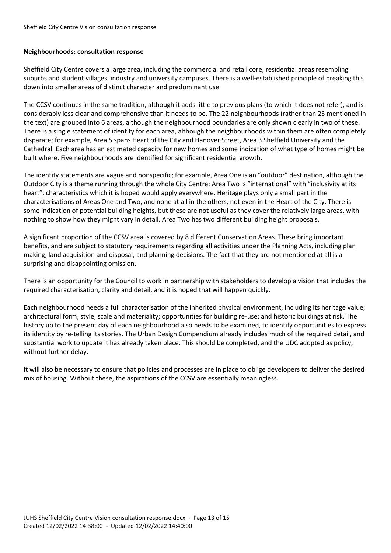#### **Neighbourhoods: consultation response**

Sheffield City Centre covers a large area, including the commercial and retail core, residential areas resembling suburbs and student villages, industry and university campuses. There is a well-established principle of breaking this down into smaller areas of distinct character and predominant use.

The CCSV continues in the same tradition, although it adds little to previous plans (to which it does not refer), and is considerably less clear and comprehensive than it needs to be. The 22 neighbourhoods (rather than 23 mentioned in the text) are grouped into 6 areas, although the neighbourhood boundaries are only shown clearly in two of these. There is a single statement of identity for each area, although the neighbourhoods within them are often completely disparate; for example, Area 5 spans Heart of the City and Hanover Street, Area 3 Sheffield University and the Cathedral. Each area has an estimated capacity for new homes and some indication of what type of homes might be built where. Five neighbourhoods are identified for significant residential growth.

The identity statements are vague and nonspecific; for example, Area One is an "outdoor" destination, although the Outdoor City is a theme running through the whole City Centre; Area Two is "international" with "inclusivity at its heart", characteristics which it is hoped would apply everywhere. Heritage plays only a small part in the characterisations of Areas One and Two, and none at all in the others, not even in the Heart of the City. There is some indication of potential building heights, but these are not useful as they cover the relatively large areas, with nothing to show how they might vary in detail. Area Two has two different building height proposals.

A significant proportion of the CCSV area is covered by 8 different Conservation Areas. These bring important benefits, and are subject to statutory requirements regarding all activities under the Planning Acts, including plan making, land acquisition and disposal, and planning decisions. The fact that they are not mentioned at all is a surprising and disappointing omission.

There is an opportunity for the Council to work in partnership with stakeholders to develop a vision that includes the required characterisation, clarity and detail, and it is hoped that will happen quickly.

Each neighbourhood needs a full characterisation of the inherited physical environment, including its heritage value; architectural form, style, scale and materiality; opportunities for building re-use; and historic buildings at risk. The history up to the present day of each neighbourhood also needs to be examined, to identify opportunities to express its identity by re-telling its stories. The Urban Design Compendium already includes much of the required detail, and substantial work to update it has already taken place. This should be completed, and the UDC adopted as policy, without further delay.

It will also be necessary to ensure that policies and processes are in place to oblige developers to deliver the desired mix of housing. Without these, the aspirations of the CCSV are essentially meaningless.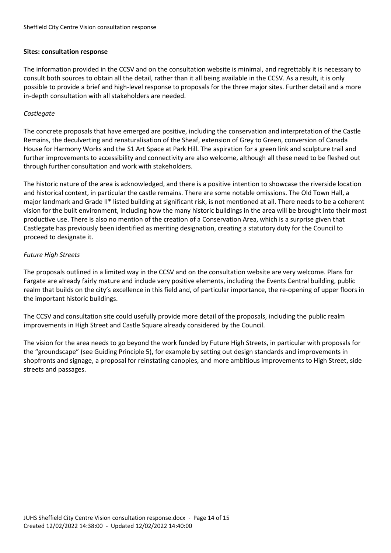#### **Sites: consultation response**

The information provided in the CCSV and on the consultation website is minimal, and regrettably it is necessary to consult both sources to obtain all the detail, rather than it all being available in the CCSV. As a result, it is only possible to provide a brief and high-level response to proposals for the three major sites. Further detail and a more in-depth consultation with all stakeholders are needed.

#### *Castlegate*

The concrete proposals that have emerged are positive, including the conservation and interpretation of the Castle Remains, the deculverting and renaturalisation of the Sheaf, extension of Grey to Green, conversion of Canada House for Harmony Works and the S1 Art Space at Park Hill. The aspiration for a green link and sculpture trail and further improvements to accessibility and connectivity are also welcome, although all these need to be fleshed out through further consultation and work with stakeholders.

The historic nature of the area is acknowledged, and there is a positive intention to showcase the riverside location and historical context, in particular the castle remains. There are some notable omissions. The Old Town Hall, a major landmark and Grade II\* listed building at significant risk, is not mentioned at all. There needs to be a coherent vision for the built environment, including how the many historic buildings in the area will be brought into their most productive use. There is also no mention of the creation of a Conservation Area, which is a surprise given that Castlegate has previously been identified as meriting designation, creating a statutory duty for the Council to proceed to designate it.

#### *Future High Streets*

The proposals outlined in a limited way in the CCSV and on the consultation website are very welcome. Plans for Fargate are already fairly mature and include very positive elements, including the Events Central building, public realm that builds on the city's excellence in this field and, of particular importance, the re-opening of upper floors in the important historic buildings.

The CCSV and consultation site could usefully provide more detail of the proposals, including the public realm improvements in High Street and Castle Square already considered by the Council.

The vision for the area needs to go beyond the work funded by Future High Streets, in particular with proposals for the "groundscape" (see Guiding Principle 5), for example by setting out design standards and improvements in shopfronts and signage, a proposal for reinstating canopies, and more ambitious improvements to High Street, side streets and passages.